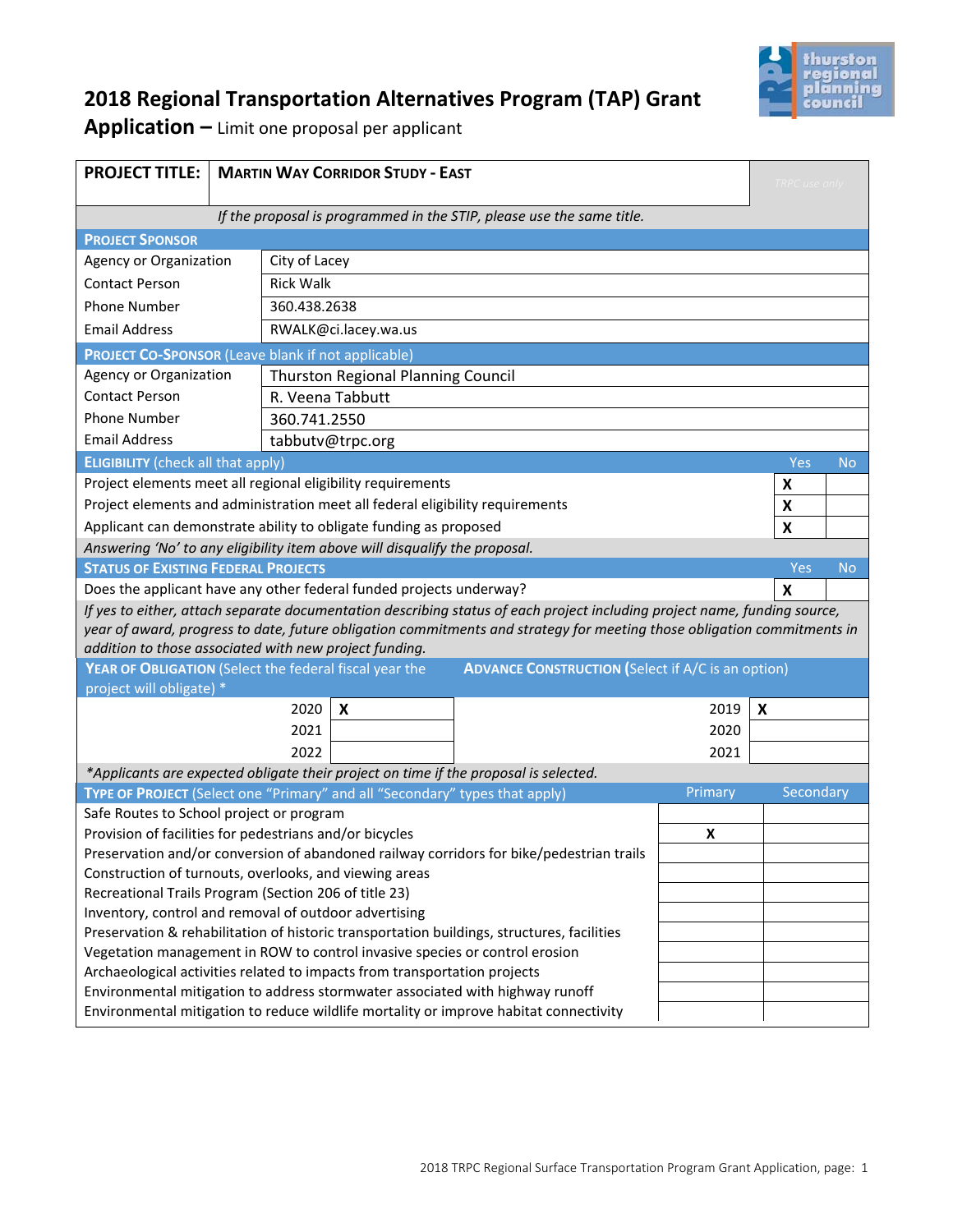

# **2018 Regional Transportation Alternatives Program (TAP) Grant**

**Application –** Limit one proposal per applicant

| <b>PROJECT TITLE:</b>                                                                                                                                               |                                                                                                                           | <b>MARTIN WAY CORRIDOR STUDY - EAST</b> |      |      |         | <b>TRPC</b> use only |  |
|---------------------------------------------------------------------------------------------------------------------------------------------------------------------|---------------------------------------------------------------------------------------------------------------------------|-----------------------------------------|------|------|---------|----------------------|--|
| If the proposal is programmed in the STIP, please use the same title.                                                                                               |                                                                                                                           |                                         |      |      |         |                      |  |
| <b>PROJECT SPONSOR</b>                                                                                                                                              |                                                                                                                           |                                         |      |      |         |                      |  |
|                                                                                                                                                                     | Agency or Organization<br>City of Lacey                                                                                   |                                         |      |      |         |                      |  |
| <b>Contact Person</b>                                                                                                                                               |                                                                                                                           | <b>Rick Walk</b>                        |      |      |         |                      |  |
| <b>Phone Number</b>                                                                                                                                                 |                                                                                                                           | 360.438.2638                            |      |      |         |                      |  |
|                                                                                                                                                                     |                                                                                                                           |                                         |      |      |         |                      |  |
|                                                                                                                                                                     | <b>Email Address</b><br>RWALK@ci.lacey.wa.us<br><b>PROJECT CO-SPONSOR (Leave blank if not applicable)</b>                 |                                         |      |      |         |                      |  |
| Agency or Organization                                                                                                                                              |                                                                                                                           |                                         |      |      |         |                      |  |
| <b>Contact Person</b>                                                                                                                                               | <b>Thurston Regional Planning Council</b>                                                                                 |                                         |      |      |         |                      |  |
| <b>Phone Number</b>                                                                                                                                                 |                                                                                                                           | R. Veena Tabbutt<br>360.741.2550        |      |      |         |                      |  |
| <b>Email Address</b>                                                                                                                                                | tabbutv@trpc.org                                                                                                          |                                         |      |      |         |                      |  |
| <b>ELIGIBILITY</b> (check all that apply)                                                                                                                           |                                                                                                                           |                                         |      |      |         | Yes<br><b>No</b>     |  |
| Project elements meet all regional eligibility requirements                                                                                                         |                                                                                                                           |                                         |      |      |         | X                    |  |
|                                                                                                                                                                     |                                                                                                                           |                                         |      |      |         | X                    |  |
| Project elements and administration meet all federal eligibility requirements<br>Applicant can demonstrate ability to obligate funding as proposed                  |                                                                                                                           |                                         |      |      |         | X                    |  |
| Answering 'No' to any eligibility item above will disqualify the proposal.                                                                                          |                                                                                                                           |                                         |      |      |         |                      |  |
| <b>STATUS OF EXISTING FEDERAL PROJECTS</b>                                                                                                                          |                                                                                                                           |                                         |      |      |         | Yes<br><b>No</b>     |  |
| Does the applicant have any other federal funded projects underway?                                                                                                 |                                                                                                                           |                                         |      |      | X       |                      |  |
|                                                                                                                                                                     | If yes to either, attach separate documentation describing status of each project including project name, funding source, |                                         |      |      |         |                      |  |
| year of award, progress to date, future obligation commitments and strategy for meeting those obligation commitments in                                             |                                                                                                                           |                                         |      |      |         |                      |  |
| addition to those associated with new project funding.                                                                                                              |                                                                                                                           |                                         |      |      |         |                      |  |
| YEAR OF OBLIGATION (Select the federal fiscal year the<br><b>ADVANCE CONSTRUCTION (Select if A/C is an option)</b>                                                  |                                                                                                                           |                                         |      |      |         |                      |  |
| project will obligate) *                                                                                                                                            |                                                                                                                           |                                         |      |      |         |                      |  |
| 2020<br>X                                                                                                                                                           |                                                                                                                           |                                         | 2019 | X    |         |                      |  |
| 2021                                                                                                                                                                |                                                                                                                           |                                         | 2020 |      |         |                      |  |
| 2022                                                                                                                                                                |                                                                                                                           |                                         |      | 2021 |         |                      |  |
| *Applicants are expected obligate their project on time if the proposal is selected.<br>TYPE OF PROJECT (Select one "Primary" and all "Secondary" types that apply) |                                                                                                                           |                                         |      |      |         |                      |  |
|                                                                                                                                                                     |                                                                                                                           |                                         |      |      | Primary | Secondary            |  |
| Safe Routes to School project or program                                                                                                                            |                                                                                                                           |                                         |      |      |         |                      |  |
| Provision of facilities for pedestrians and/or bicycles<br>Preservation and/or conversion of abandoned railway corridors for bike/pedestrian trails                 |                                                                                                                           |                                         |      |      | X       |                      |  |
| Construction of turnouts, overlooks, and viewing areas                                                                                                              |                                                                                                                           |                                         |      |      |         |                      |  |
| Recreational Trails Program (Section 206 of title 23)                                                                                                               |                                                                                                                           |                                         |      |      |         |                      |  |
| Inventory, control and removal of outdoor advertising                                                                                                               |                                                                                                                           |                                         |      |      |         |                      |  |
| Preservation & rehabilitation of historic transportation buildings, structures, facilities                                                                          |                                                                                                                           |                                         |      |      |         |                      |  |
| Vegetation management in ROW to control invasive species or control erosion                                                                                         |                                                                                                                           |                                         |      |      |         |                      |  |
| Archaeological activities related to impacts from transportation projects                                                                                           |                                                                                                                           |                                         |      |      |         |                      |  |
| Environmental mitigation to address stormwater associated with highway runoff                                                                                       |                                                                                                                           |                                         |      |      |         |                      |  |
| Environmental mitigation to reduce wildlife mortality or improve habitat connectivity                                                                               |                                                                                                                           |                                         |      |      |         |                      |  |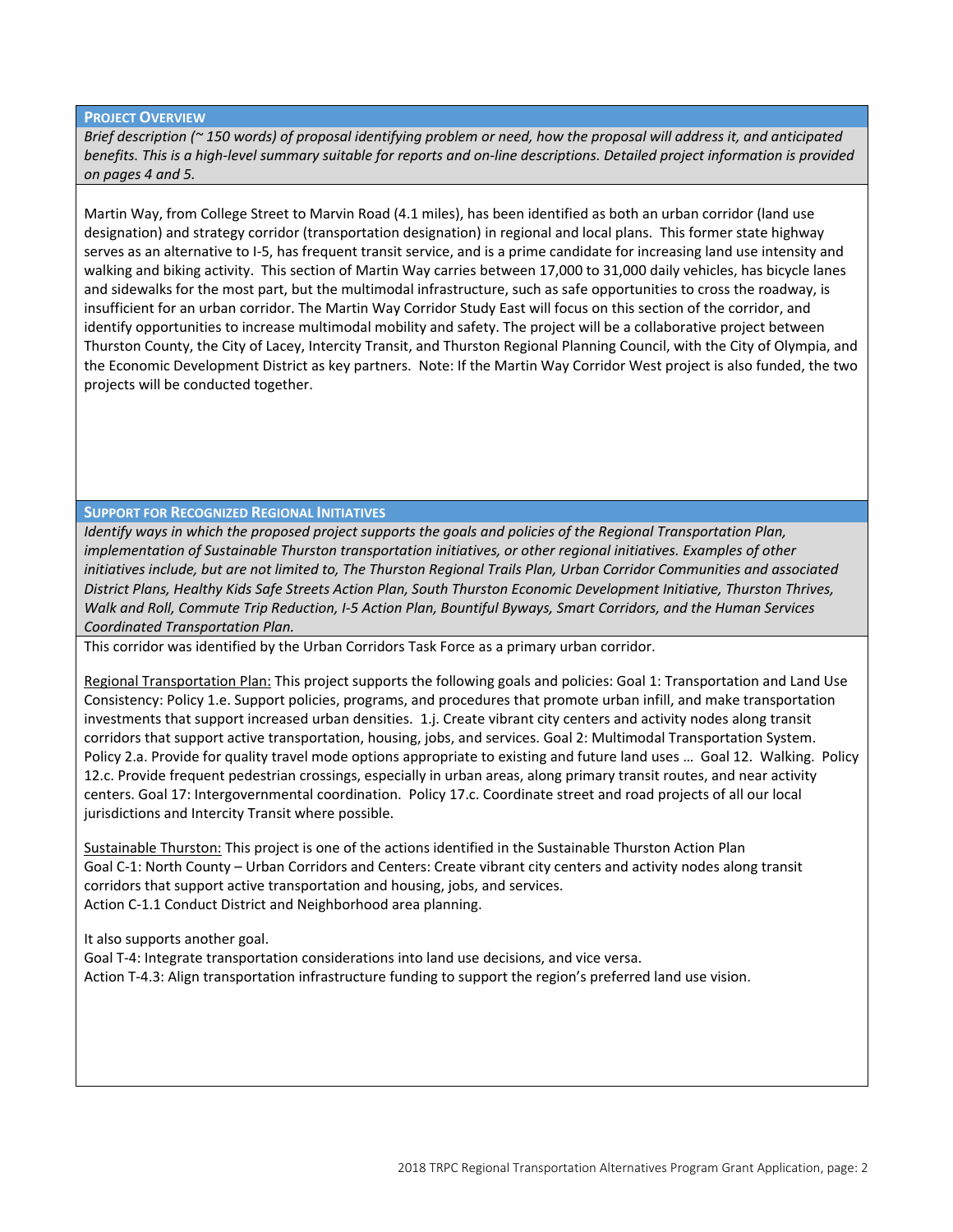#### **PROJECT OVERVIEW**

*Brief description (~ 150 words) of proposal identifying problem or need, how the proposal will address it, and anticipated benefits. This is a high‐level summary suitable for reports and on‐line descriptions. Detailed project information is provided on pages 4 and 5.*

Martin Way, from College Street to Marvin Road (4.1 miles), has been identified as both an urban corridor (land use designation) and strategy corridor (transportation designation) in regional and local plans. This former state highway serves as an alternative to I‐5, has frequent transit service, and is a prime candidate for increasing land use intensity and walking and biking activity. This section of Martin Way carries between 17,000 to 31,000 daily vehicles, has bicycle lanes and sidewalks for the most part, but the multimodal infrastructure, such as safe opportunities to cross the roadway, is insufficient for an urban corridor. The Martin Way Corridor Study East will focus on this section of the corridor, and identify opportunities to increase multimodal mobility and safety. The project will be a collaborative project between Thurston County, the City of Lacey, Intercity Transit, and Thurston Regional Planning Council, with the City of Olympia, and the Economic Development District as key partners. Note: If the Martin Way Corridor West project is also funded, the two projects will be conducted together.

#### **SUPPORT FOR RECOGNIZED REGIONAL INITIATIVES**

*Identify ways in which the proposed project supports the goals and policies of the Regional Transportation Plan, implementation of Sustainable Thurston transportation initiatives, or other regional initiatives. Examples of other initiatives include, but are not limited to, The Thurston Regional Trails Plan, Urban Corridor Communities and associated District Plans, Healthy Kids Safe Streets Action Plan, South Thurston Economic Development Initiative, Thurston Thrives, Walk and Roll, Commute Trip Reduction, I‐5 Action Plan, Bountiful Byways, Smart Corridors, and the Human Services Coordinated Transportation Plan.* 

This corridor was identified by the Urban Corridors Task Force as a primary urban corridor.

Regional Transportation Plan: This project supports the following goals and policies: Goal 1: Transportation and Land Use Consistency: Policy 1.e. Support policies, programs, and procedures that promote urban infill, and make transportation investments that support increased urban densities. 1.j. Create vibrant city centers and activity nodes along transit corridors that support active transportation, housing, jobs, and services. Goal 2: Multimodal Transportation System. Policy 2.a. Provide for quality travel mode options appropriate to existing and future land uses ... Goal 12. Walking. Policy 12.c. Provide frequent pedestrian crossings, especially in urban areas, along primary transit routes, and near activity centers. Goal 17: Intergovernmental coordination. Policy 17.c. Coordinate street and road projects of all our local jurisdictions and Intercity Transit where possible.

Sustainable Thurston: This project is one of the actions identified in the Sustainable Thurston Action Plan Goal C‐1: North County – Urban Corridors and Centers: Create vibrant city centers and activity nodes along transit corridors that support active transportation and housing, jobs, and services. Action C-1.1 Conduct District and Neighborhood area planning.

It also supports another goal.

Goal T‐4: Integrate transportation considerations into land use decisions, and vice versa. Action T‐4.3: Align transportation infrastructure funding to support the region's preferred land use vision.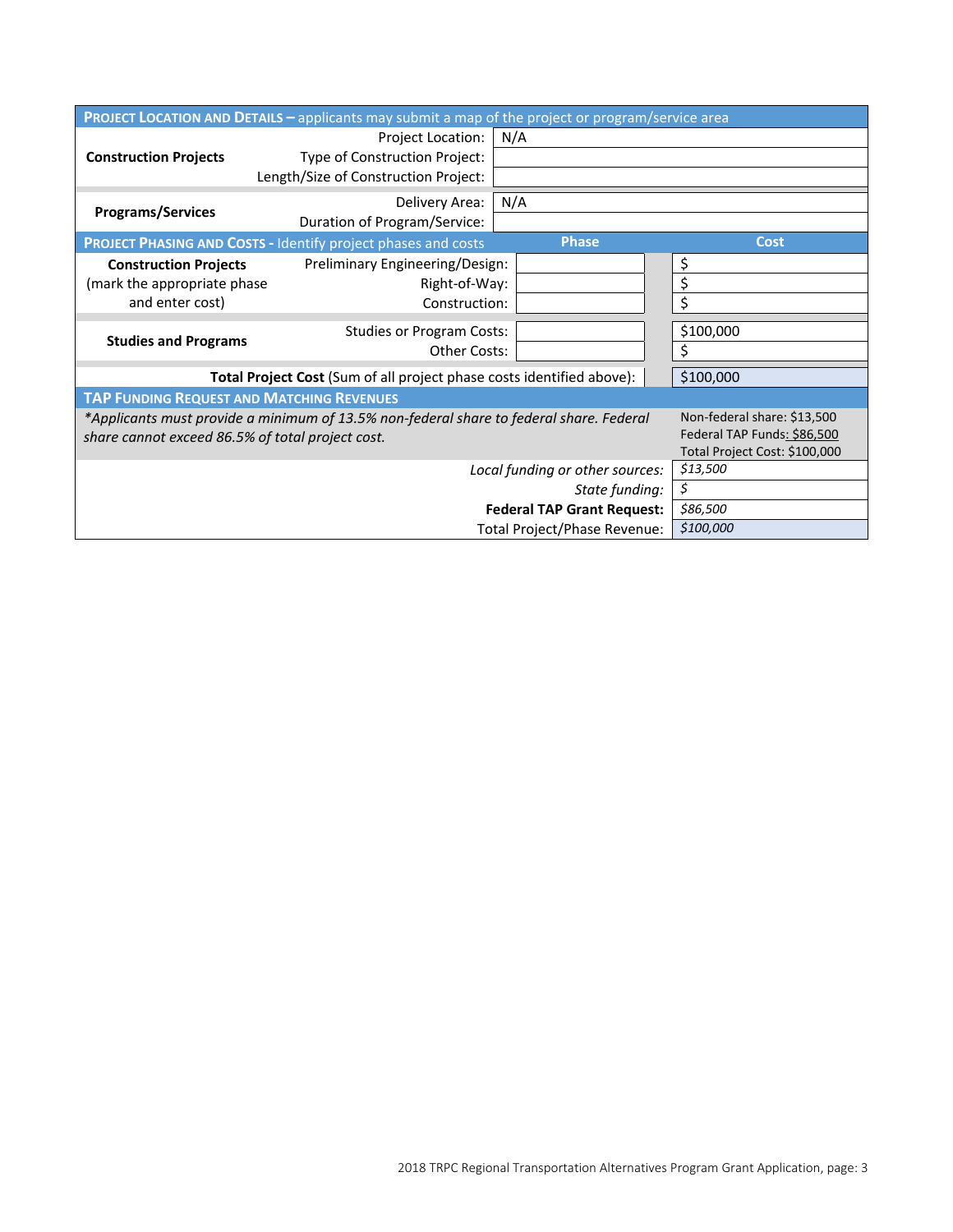| PROJECT LOCATION AND DETAILS - applicants may submit a map of the project or program/service area                                           |                                                                                             |              |                |  |  |
|---------------------------------------------------------------------------------------------------------------------------------------------|---------------------------------------------------------------------------------------------|--------------|----------------|--|--|
| <b>Construction Projects</b>                                                                                                                | Project Location:<br>Type of Construction Project:<br>Length/Size of Construction Project:  | N/A          |                |  |  |
| <b>Programs/Services</b>                                                                                                                    | Delivery Area:<br>Duration of Program/Service:                                              | N/A          |                |  |  |
|                                                                                                                                             | <b>PROJECT PHASING AND COSTS - Identify project phases and costs</b>                        | <b>Phase</b> | <b>Cost</b>    |  |  |
| <b>Construction Projects</b><br>(mark the appropriate phase<br>and enter cost)                                                              | Preliminary Engineering/Design:<br>Right-of-Way:<br>Construction:                           |              | \$<br>\$<br>\$ |  |  |
| <b>Studies and Programs</b>                                                                                                                 | <b>Studies or Program Costs:</b><br><b>Other Costs:</b>                                     |              | \$100,000      |  |  |
| Total Project Cost (Sum of all project phase costs identified above):                                                                       | \$100,000                                                                                   |              |                |  |  |
| <b>TAP FUNDING REQUEST AND MATCHING REVENUES</b>                                                                                            |                                                                                             |              |                |  |  |
| *Applicants must provide a minimum of 13.5% non-federal share to federal share. Federal<br>share cannot exceed 86.5% of total project cost. | Non-federal share: \$13,500<br>Federal TAP Funds: \$86,500<br>Total Project Cost: \$100,000 |              |                |  |  |
|                                                                                                                                             | \$13,500                                                                                    |              |                |  |  |
|                                                                                                                                             | \$                                                                                          |              |                |  |  |
|                                                                                                                                             | \$86,500                                                                                    |              |                |  |  |
|                                                                                                                                             | \$100,000                                                                                   |              |                |  |  |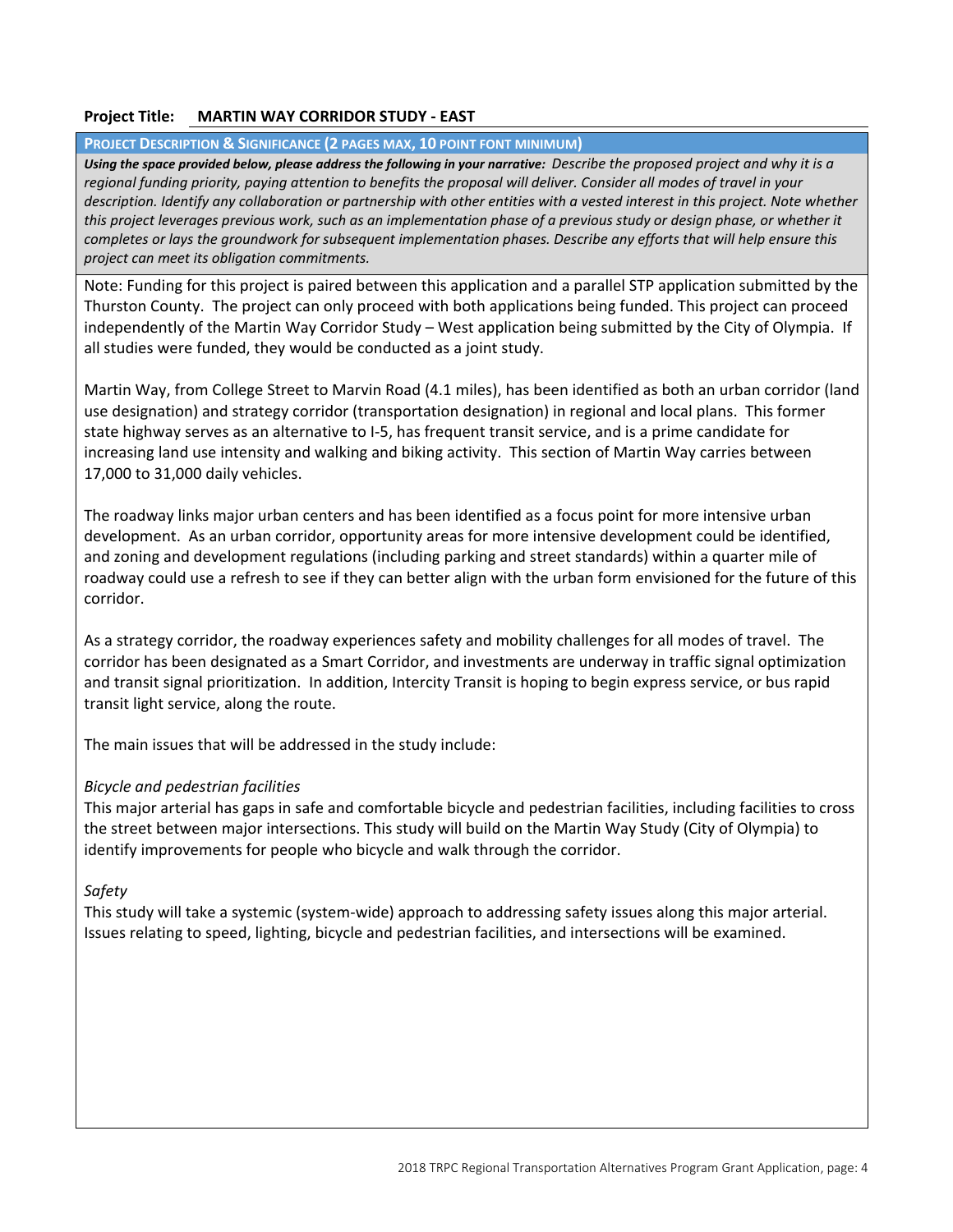## **Project Title: MARTIN WAY CORRIDOR STUDY ‐ EAST**

#### **PROJECT DESCRIPTION & SIGNIFICANCE (2 PAGES MAX, 10 POINT FONT MINIMUM)**

Using the space provided below, please address the following in your narrative: Describe the proposed project and why it is a *regional funding priority, paying attention to benefits the proposal will deliver. Consider all modes of travel in your description. Identify any collaboration or partnership with other entities with a vested interest in this project. Note whether this project leverages previous work, such as an implementation phase of a previous study or design phase, or whether it completes or lays the groundwork for subsequent implementation phases. Describe any efforts that will help ensure this project can meet its obligation commitments.*

Note: Funding for this project is paired between this application and a parallel STP application submitted by the Thurston County. The project can only proceed with both applications being funded. This project can proceed independently of the Martin Way Corridor Study – West application being submitted by the City of Olympia. If all studies were funded, they would be conducted as a joint study.

Martin Way, from College Street to Marvin Road (4.1 miles), has been identified as both an urban corridor (land use designation) and strategy corridor (transportation designation) in regional and local plans. This former state highway serves as an alternative to I‐5, has frequent transit service, and is a prime candidate for increasing land use intensity and walking and biking activity. This section of Martin Way carries between 17,000 to 31,000 daily vehicles.

The roadway links major urban centers and has been identified as a focus point for more intensive urban development. As an urban corridor, opportunity areas for more intensive development could be identified, and zoning and development regulations (including parking and street standards) within a quarter mile of roadway could use a refresh to see if they can better align with the urban form envisioned for the future of this corridor.

As a strategy corridor, the roadway experiences safety and mobility challenges for all modes of travel. The corridor has been designated as a Smart Corridor, and investments are underway in traffic signal optimization and transit signal prioritization. In addition, Intercity Transit is hoping to begin express service, or bus rapid transit light service, along the route.

The main issues that will be addressed in the study include:

## *Bicycle and pedestrian facilities*

This major arterial has gaps in safe and comfortable bicycle and pedestrian facilities, including facilities to cross the street between major intersections. This study will build on the Martin Way Study (City of Olympia) to identify improvements for people who bicycle and walk through the corridor.

## *Safety*

This study will take a systemic (system‐wide) approach to addressing safety issues along this major arterial. Issues relating to speed, lighting, bicycle and pedestrian facilities, and intersections will be examined.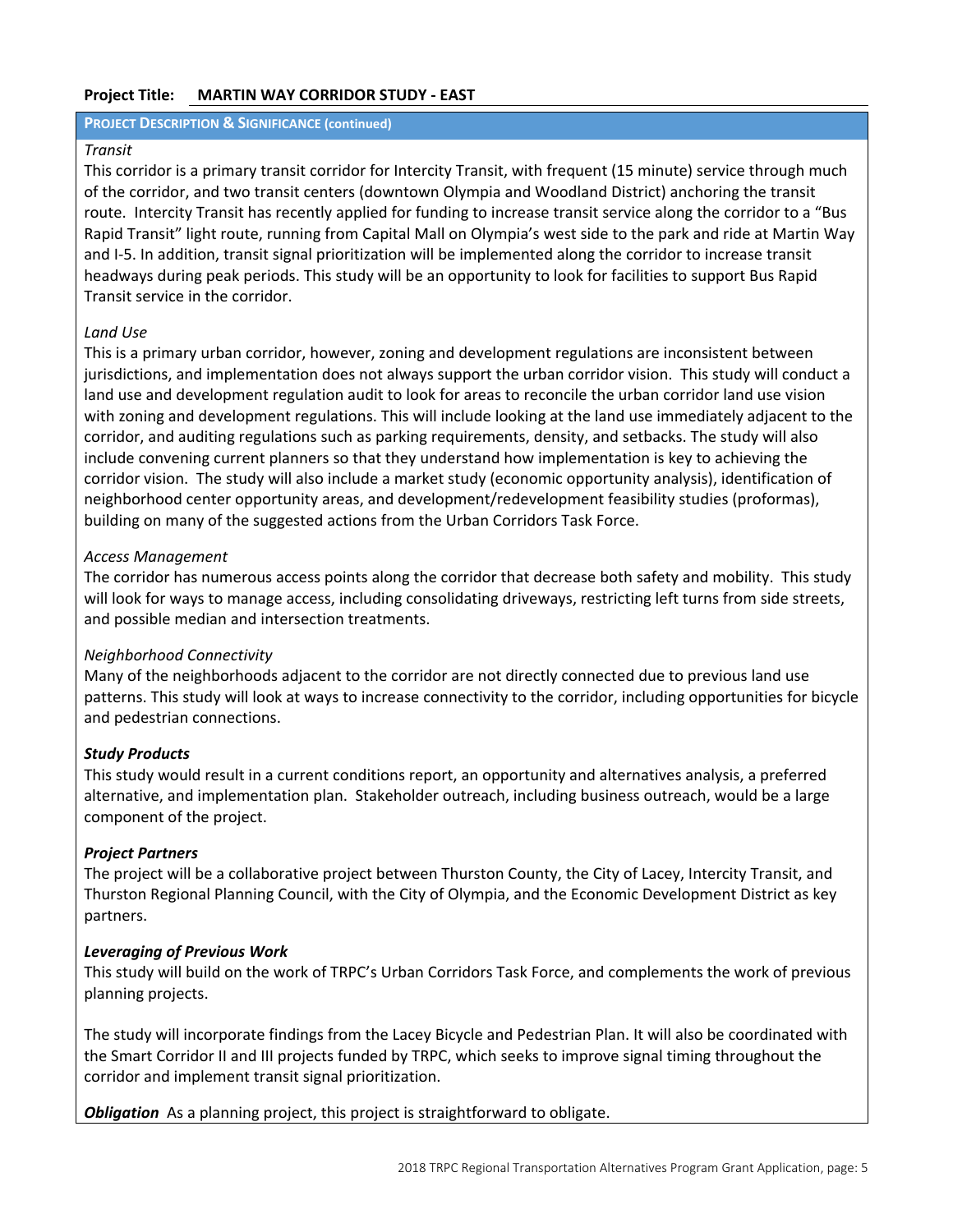## **Project Title: MARTIN WAY CORRIDOR STUDY ‐ EAST**

#### **PROJECT DESCRIPTION & SIGNIFICANCE (continued)**

#### *Transit*

This corridor is a primary transit corridor for Intercity Transit, with frequent (15 minute) service through much of the corridor, and two transit centers (downtown Olympia and Woodland District) anchoring the transit route. Intercity Transit has recently applied for funding to increase transit service along the corridor to a "Bus Rapid Transit" light route, running from Capital Mall on Olympia's west side to the park and ride at Martin Way and I‐5. In addition, transit signal prioritization will be implemented along the corridor to increase transit headways during peak periods. This study will be an opportunity to look for facilities to support Bus Rapid Transit service in the corridor.

## *Land Use*

This is a primary urban corridor, however, zoning and development regulations are inconsistent between jurisdictions, and implementation does not always support the urban corridor vision. This study will conduct a land use and development regulation audit to look for areas to reconcile the urban corridor land use vision with zoning and development regulations. This will include looking at the land use immediately adjacent to the corridor, and auditing regulations such as parking requirements, density, and setbacks. The study will also include convening current planners so that they understand how implementation is key to achieving the corridor vision. The study will also include a market study (economic opportunity analysis), identification of neighborhood center opportunity areas, and development/redevelopment feasibility studies (proformas), building on many of the suggested actions from the Urban Corridors Task Force.

## *Access Management*

The corridor has numerous access points along the corridor that decrease both safety and mobility. This study will look for ways to manage access, including consolidating driveways, restricting left turns from side streets, and possible median and intersection treatments.

## *Neighborhood Connectivity*

Many of the neighborhoods adjacent to the corridor are not directly connected due to previous land use patterns. This study will look at ways to increase connectivity to the corridor, including opportunities for bicycle and pedestrian connections.

## *Study Products*

This study would result in a current conditions report, an opportunity and alternatives analysis, a preferred alternative, and implementation plan. Stakeholder outreach, including business outreach, would be a large component of the project.

## *Project Partners*

The project will be a collaborative project between Thurston County, the City of Lacey, Intercity Transit, and Thurston Regional Planning Council, with the City of Olympia, and the Economic Development District as key partners.

## *Leveraging of Previous Work*

This study will build on the work of TRPC's Urban Corridors Task Force, and complements the work of previous planning projects.

The study will incorporate findings from the Lacey Bicycle and Pedestrian Plan. It will also be coordinated with the Smart Corridor II and III projects funded by TRPC, which seeks to improve signal timing throughout the corridor and implement transit signal prioritization.

**Obligation** As a planning project, this project is straightforward to obligate.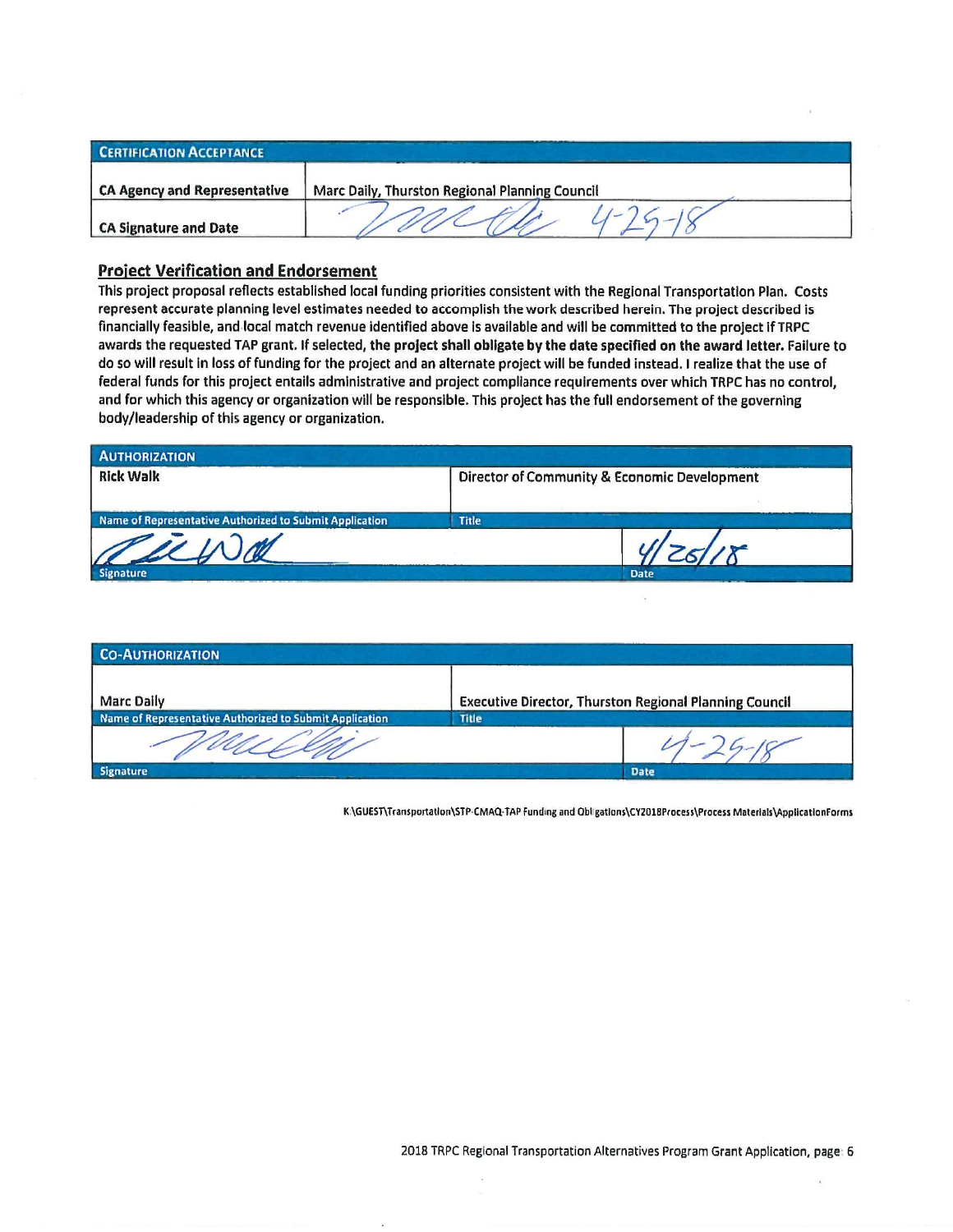| <b>CERTIFICATION ACCEPTANCE</b> |                                                |
|---------------------------------|------------------------------------------------|
| CA Agency and Representative    | Marc Daily, Thurston Regional Planning Council |
| CA Signature and Date           |                                                |

#### **Project Verification and Endorsement**

This project proposal reflects established local funding priorities consistent with the Regional Transportation Plan. Costs represent accurate planning level estimates needed to accomplish the work described herein. The project described is financially feasible, and local match revenue identified above is available and will be committed to the project if TRPC awards the requested TAP grant. If selected, the project shall obligate by the date specified on the award letter. Failure to do so will result in loss of funding for the project and an alternate project will be funded instead. I realize that the use of federal funds for this project entails administrative and project compliance requirements over which TRPC has no control. and for which this agency or organization will be responsible. This project has the full endorsement of the governing body/leadership of this agency or organization.

| <b>AUTHORIZATION</b>                                    |       |                                              |
|---------------------------------------------------------|-------|----------------------------------------------|
| <b>Rick Walk</b>                                        |       | Director of Community & Economic Development |
| Name of Representative Authorized to Submit Application | Title |                                              |
| auch                                                    |       |                                              |
| Signature                                               |       | <b>Date</b>                                  |

| <b>CO-AUTHORIZATION</b>                                 |                                                               |             |  |  |
|---------------------------------------------------------|---------------------------------------------------------------|-------------|--|--|
| <b>Marc Daily</b>                                       | <b>Executive Director, Thurston Regional Planning Council</b> |             |  |  |
| Name of Representative Authorized to Submit Application | <b>Title</b>                                                  |             |  |  |
|                                                         |                                                               |             |  |  |
| <b>Signature</b>                                        |                                                               | <b>Date</b> |  |  |

K \GUEST\Transportation\STP-CMAQ-TAP Funding and Obl gations\CY2018Process\Process Materials\ApplicationForms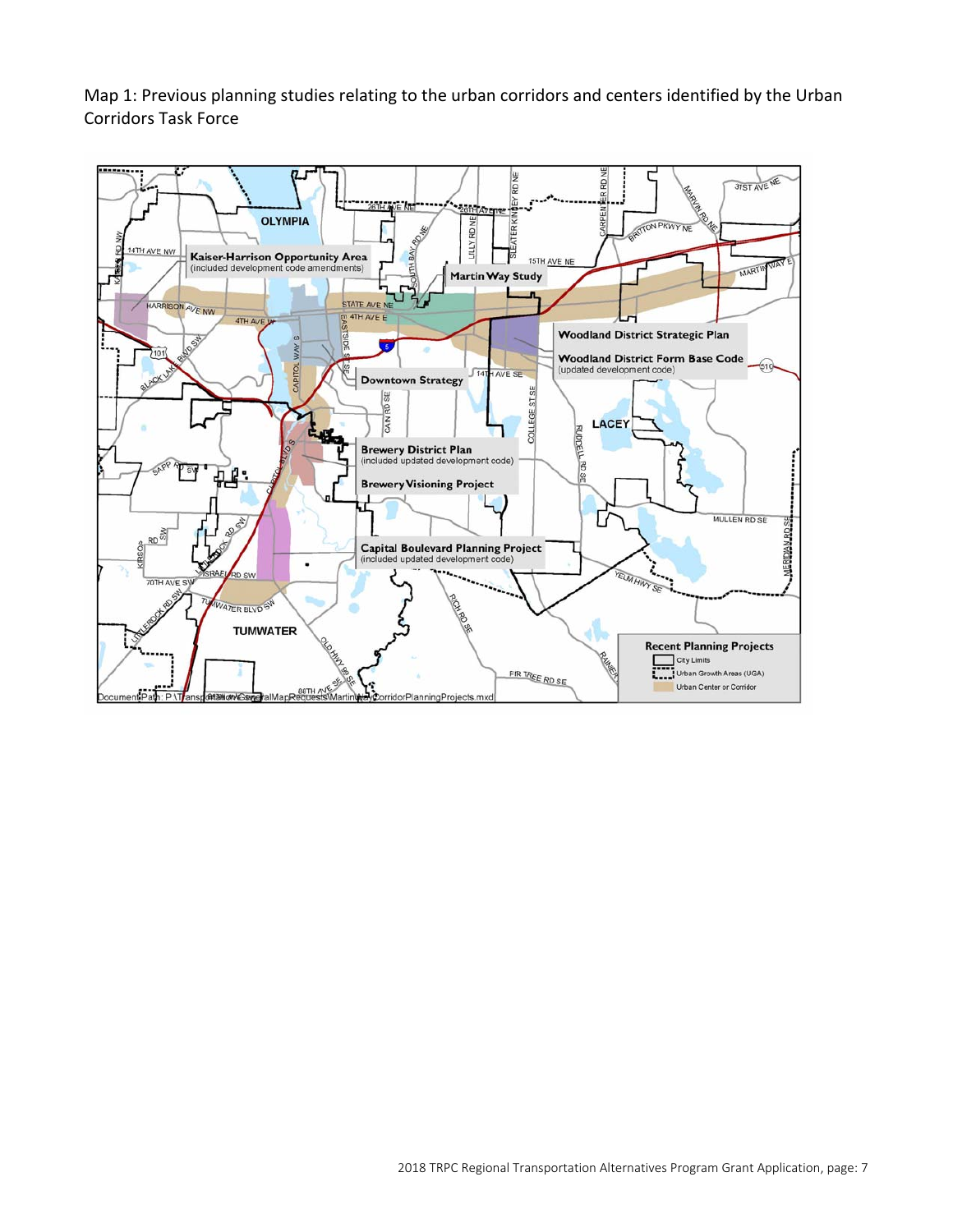Map 1: Previous planning studies relating to the urban corridors and centers identified by the Urban Corridors Task Force